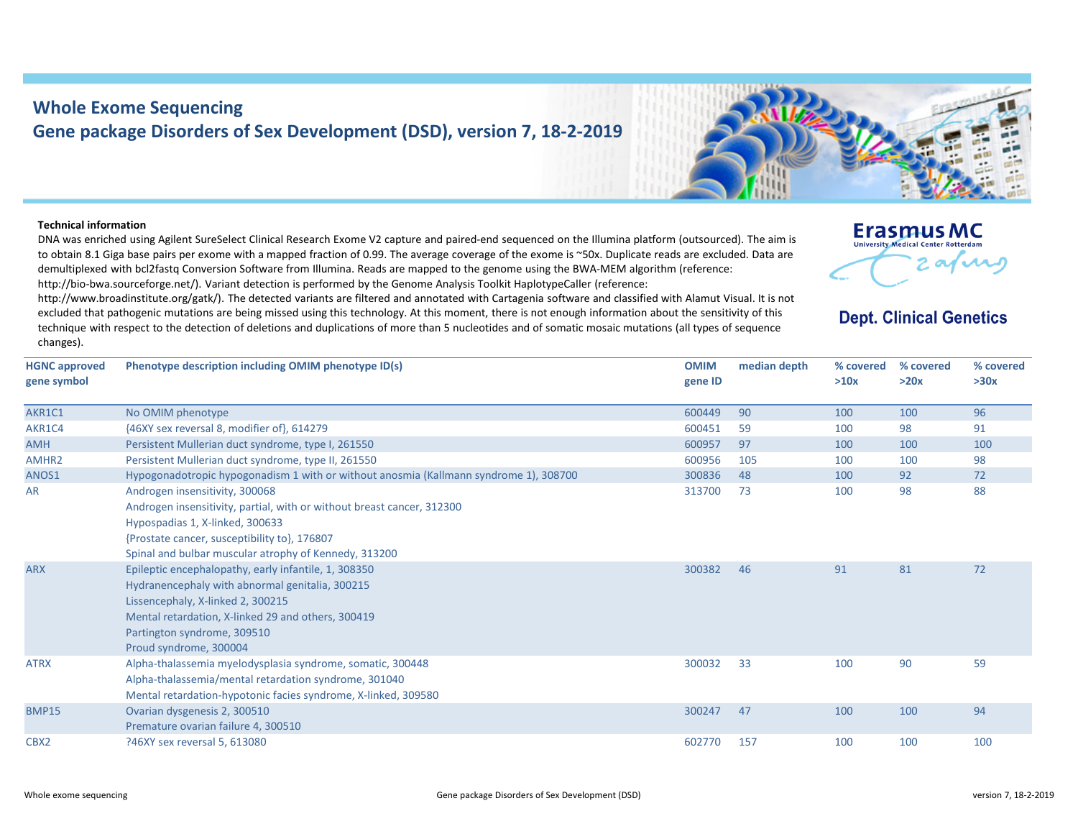## **Whole Exome Sequencing Gene package Disorders of Sex Development (DSD), version 7, 18‐2‐2019**

## **Technical information**

DNA was enriched using Agilent SureSelect Clinical Research Exome V2 capture and paired‐end sequenced on the Illumina platform (outsourced). The aim is to obtain 8.1 Giga base pairs per exome with <sup>a</sup> mapped fraction of 0.99. The average coverage of the exome is ~50x. Duplicate reads are excluded. Data are demultiplexed with bcl2fastq Conversion Software from Illumina. Reads are mapped to the genome using the BWA‐MEM algorithm (reference: http://bio-bwa.sourceforge.net/). Variant detection is performed by the Genome Analysis Toolkit HaplotypeCaller (reference:

http://www.broadinstitute.org/gatk/). The detected variants are filtered and annotated with Cartagenia software and classified with Alamut Visual. It is not excluded that pathogenic mutations are being missed using this technology. At this moment, there is not enough information about the sensitivity of this technique with respect to the detection of deletions and duplications of more than 5 nucleotides and of somatic mosaic mutations (all types of sequence changes).



## **Dept. Clinical Genetics**

| <b>HGNC approved</b><br>gene symbol | Phenotype description including OMIM phenotype ID(s)                                                                                                                                                                                                                                                         | <b>OMIM</b><br>gene ID | median depth | % covered<br>>10x | % covered<br>>20x | % covered<br>>30x |
|-------------------------------------|--------------------------------------------------------------------------------------------------------------------------------------------------------------------------------------------------------------------------------------------------------------------------------------------------------------|------------------------|--------------|-------------------|-------------------|-------------------|
| AKR1C1                              | No OMIM phenotype                                                                                                                                                                                                                                                                                            | 600449                 | 90           | 100               | 100               | 96                |
| AKR1C4                              | {46XY sex reversal 8, modifier of}, 614279                                                                                                                                                                                                                                                                   | 600451                 | 59           | 100               | 98                | 91                |
| <b>AMH</b>                          | Persistent Mullerian duct syndrome, type I, 261550                                                                                                                                                                                                                                                           | 600957                 | 97           | 100               | 100               | 100               |
| AMHR <sub>2</sub>                   | Persistent Mullerian duct syndrome, type II, 261550                                                                                                                                                                                                                                                          | 600956                 | 105          | 100               | 100               | 98                |
| ANOS1                               | Hypogonadotropic hypogonadism 1 with or without anosmia (Kallmann syndrome 1), 308700                                                                                                                                                                                                                        | 300836                 | 48           | 100               | 92                | 72                |
| AR<br><b>ARX</b>                    | Androgen insensitivity, 300068<br>Androgen insensitivity, partial, with or without breast cancer, 312300<br>Hypospadias 1, X-linked, 300633<br>{Prostate cancer, susceptibility to}, 176807<br>Spinal and bulbar muscular atrophy of Kennedy, 313200<br>Epileptic encephalopathy, early infantile, 1, 308350 | 313700<br>300382       | 73<br>46     | 100<br>91         | 98<br>81          | 88<br>72          |
|                                     | Hydranencephaly with abnormal genitalia, 300215<br>Lissencephaly, X-linked 2, 300215<br>Mental retardation, X-linked 29 and others, 300419<br>Partington syndrome, 309510<br>Proud syndrome, 300004                                                                                                          |                        |              |                   |                   |                   |
| <b>ATRX</b>                         | Alpha-thalassemia myelodysplasia syndrome, somatic, 300448<br>Alpha-thalassemia/mental retardation syndrome, 301040<br>Mental retardation-hypotonic facies syndrome, X-linked, 309580                                                                                                                        | 300032                 | 33           | 100               | 90                | 59                |
| <b>BMP15</b>                        | Ovarian dysgenesis 2, 300510<br>Premature ovarian failure 4, 300510                                                                                                                                                                                                                                          | 300247                 | 47           | 100               | 100               | 94                |
| CBX <sub>2</sub>                    | ?46XY sex reversal 5, 613080                                                                                                                                                                                                                                                                                 | 602770                 | 157          | 100               | 100               | 100               |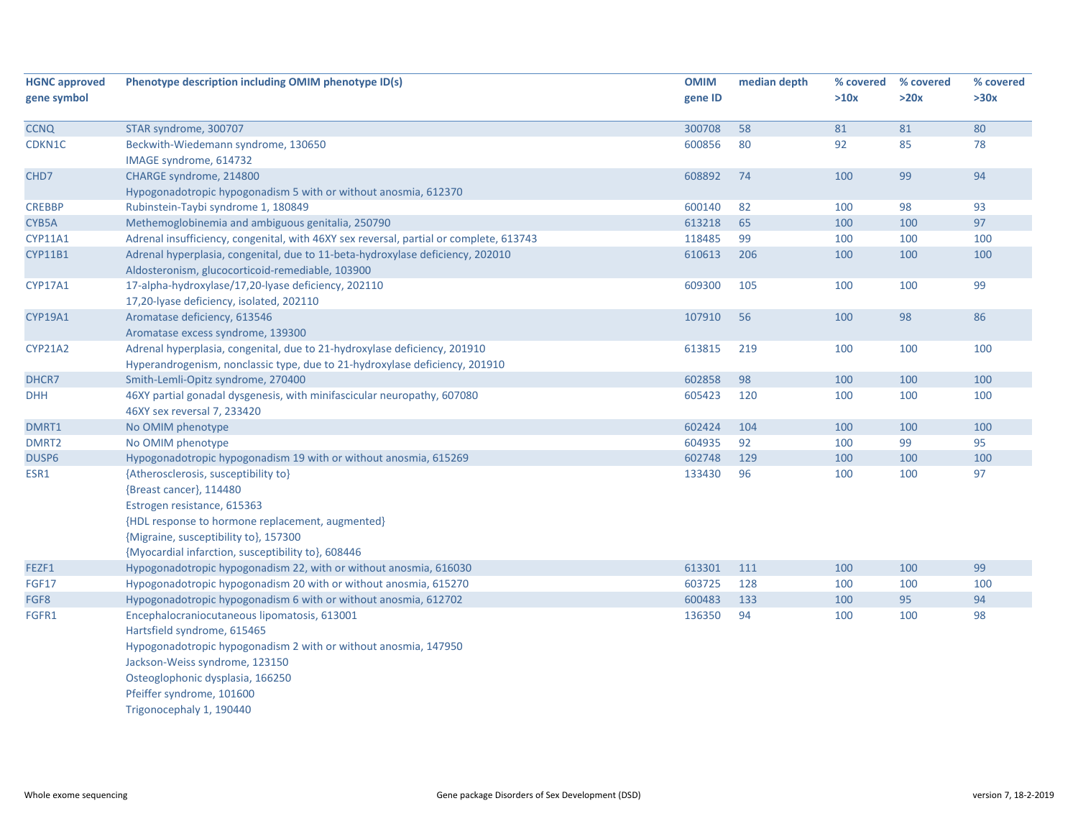| <b>HGNC approved</b> | Phenotype description including OMIM phenotype ID(s)                                   | <b>OMIM</b> | median depth | % covered | % covered | % covered |
|----------------------|----------------------------------------------------------------------------------------|-------------|--------------|-----------|-----------|-----------|
| gene symbol          |                                                                                        | gene ID     |              | >10x      | >20x      | >30x      |
|                      |                                                                                        |             |              |           |           |           |
| <b>CCNQ</b>          | STAR syndrome, 300707                                                                  | 300708      | 58           | 81        | 81        | 80        |
| CDKN1C               | Beckwith-Wiedemann syndrome, 130650                                                    | 600856      | 80           | 92        | 85        | 78        |
|                      | IMAGE syndrome, 614732                                                                 |             |              |           |           |           |
| CHD7                 | CHARGE syndrome, 214800                                                                | 608892      | 74           | 100       | 99        | 94        |
|                      | Hypogonadotropic hypogonadism 5 with or without anosmia, 612370                        |             |              |           |           |           |
| <b>CREBBP</b>        | Rubinstein-Taybi syndrome 1, 180849                                                    | 600140      | 82           | 100       | 98        | 93        |
| CYB5A                | Methemoglobinemia and ambiguous genitalia, 250790                                      | 613218      | 65           | 100       | 100       | 97        |
| CYP11A1              | Adrenal insufficiency, congenital, with 46XY sex reversal, partial or complete, 613743 | 118485      | 99           | 100       | 100       | 100       |
| <b>CYP11B1</b>       | Adrenal hyperplasia, congenital, due to 11-beta-hydroxylase deficiency, 202010         | 610613      | 206          | 100       | 100       | 100       |
|                      | Aldosteronism, glucocorticoid-remediable, 103900                                       |             |              |           |           |           |
| CYP17A1              | 17-alpha-hydroxylase/17,20-lyase deficiency, 202110                                    | 609300      | 105          | 100       | 100       | 99        |
|                      | 17,20-lyase deficiency, isolated, 202110                                               |             |              |           |           |           |
| CYP19A1              | Aromatase deficiency, 613546                                                           | 107910      | 56           | 100       | 98        | 86        |
|                      | Aromatase excess syndrome, 139300                                                      |             |              |           |           |           |
| <b>CYP21A2</b>       | Adrenal hyperplasia, congenital, due to 21-hydroxylase deficiency, 201910              | 613815      | 219          | 100       | 100       | 100       |
|                      | Hyperandrogenism, nonclassic type, due to 21-hydroxylase deficiency, 201910            |             |              |           |           |           |
| DHCR7                | Smith-Lemli-Opitz syndrome, 270400                                                     | 602858      | 98           | 100       | 100       | 100       |
| <b>DHH</b>           | 46XY partial gonadal dysgenesis, with minifascicular neuropathy, 607080                | 605423      | 120          | 100       | 100       | 100       |
|                      | 46XY sex reversal 7, 233420                                                            |             |              |           |           |           |
| DMRT1                | No OMIM phenotype                                                                      | 602424      | 104          | 100       | 100       | 100       |
| DMRT <sub>2</sub>    | No OMIM phenotype                                                                      | 604935      | 92           | 100       | 99        | 95        |
| DUSP6                | Hypogonadotropic hypogonadism 19 with or without anosmia, 615269                       | 602748      | 129          | 100       | 100       | 100       |
| ESR1                 | {Atherosclerosis, susceptibility to}                                                   | 133430      | 96           | 100       | 100       | 97        |
|                      | {Breast cancer}, 114480                                                                |             |              |           |           |           |
|                      | Estrogen resistance, 615363                                                            |             |              |           |           |           |
|                      | {HDL response to hormone replacement, augmented}                                       |             |              |           |           |           |
|                      | {Migraine, susceptibility to}, 157300                                                  |             |              |           |           |           |
|                      | {Myocardial infarction, susceptibility to}, 608446                                     |             |              |           |           |           |
| FEZF1                | Hypogonadotropic hypogonadism 22, with or without anosmia, 616030                      | 613301      | 111          | 100       | 100       | 99        |
| <b>FGF17</b>         | Hypogonadotropic hypogonadism 20 with or without anosmia, 615270                       | 603725      | 128          | 100       | 100       | 100       |
| FGF8                 | Hypogonadotropic hypogonadism 6 with or without anosmia, 612702                        | 600483      | 133          | 100       | 95        | 94        |
| FGFR1                | Encephalocraniocutaneous lipomatosis, 613001                                           | 136350      | 94           | 100       | 100       | 98        |
|                      | Hartsfield syndrome, 615465                                                            |             |              |           |           |           |
|                      | Hypogonadotropic hypogonadism 2 with or without anosmia, 147950                        |             |              |           |           |           |
|                      | Jackson-Weiss syndrome, 123150                                                         |             |              |           |           |           |
|                      | Osteoglophonic dysplasia, 166250                                                       |             |              |           |           |           |
|                      | Pfeiffer syndrome, 101600                                                              |             |              |           |           |           |
|                      | Trigonocephaly 1, 190440                                                               |             |              |           |           |           |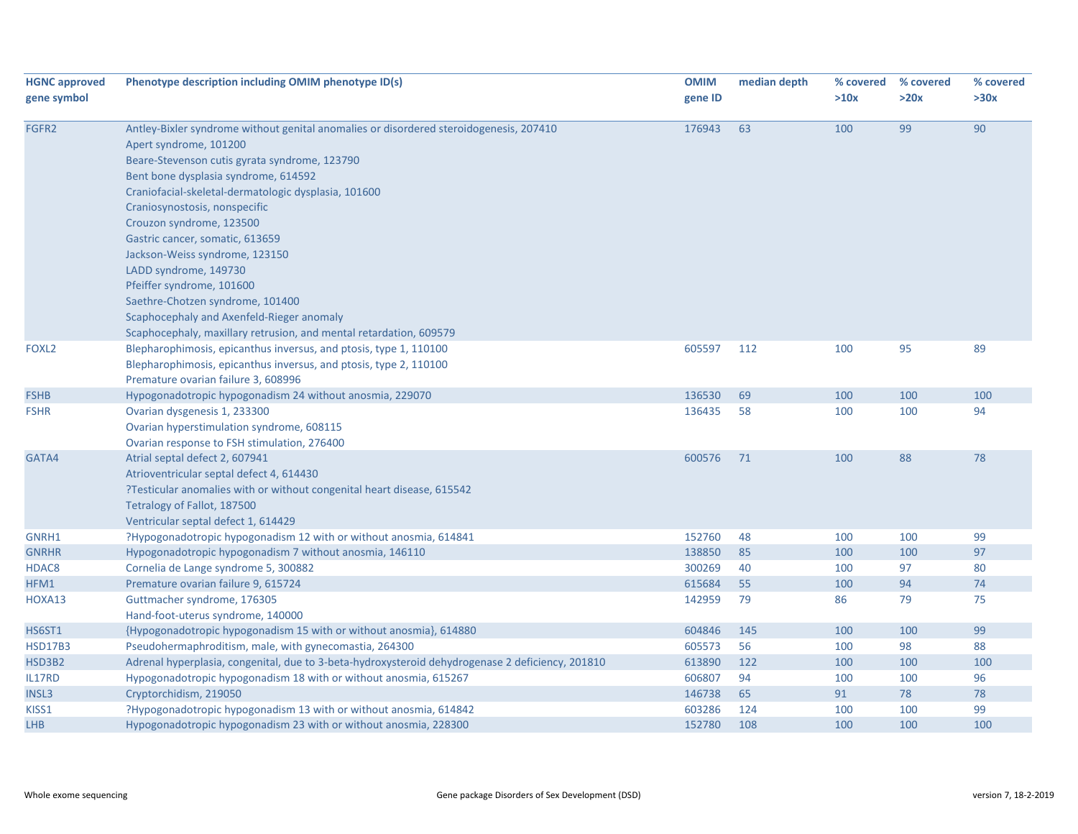| <b>HGNC approved</b> | Phenotype description including OMIM phenotype ID(s)                                             | <b>OMIM</b> | median depth | % covered | % covered | % covered |
|----------------------|--------------------------------------------------------------------------------------------------|-------------|--------------|-----------|-----------|-----------|
| gene symbol          |                                                                                                  | gene ID     |              | >10x      | >20x      | >30x      |
| FGFR2                | Antley-Bixler syndrome without genital anomalies or disordered steroidogenesis, 207410           | 176943      | 63           | 100       | 99        | 90        |
|                      | Apert syndrome, 101200                                                                           |             |              |           |           |           |
|                      | Beare-Stevenson cutis gyrata syndrome, 123790                                                    |             |              |           |           |           |
|                      | Bent bone dysplasia syndrome, 614592                                                             |             |              |           |           |           |
|                      | Craniofacial-skeletal-dermatologic dysplasia, 101600                                             |             |              |           |           |           |
|                      | Craniosynostosis, nonspecific                                                                    |             |              |           |           |           |
|                      | Crouzon syndrome, 123500                                                                         |             |              |           |           |           |
|                      | Gastric cancer, somatic, 613659                                                                  |             |              |           |           |           |
|                      | Jackson-Weiss syndrome, 123150                                                                   |             |              |           |           |           |
|                      | LADD syndrome, 149730                                                                            |             |              |           |           |           |
|                      | Pfeiffer syndrome, 101600                                                                        |             |              |           |           |           |
|                      | Saethre-Chotzen syndrome, 101400                                                                 |             |              |           |           |           |
|                      | Scaphocephaly and Axenfeld-Rieger anomaly                                                        |             |              |           |           |           |
|                      | Scaphocephaly, maxillary retrusion, and mental retardation, 609579                               |             |              |           |           |           |
| FOXL <sub>2</sub>    | Blepharophimosis, epicanthus inversus, and ptosis, type 1, 110100                                | 605597      | 112          | 100       | 95        | 89        |
|                      | Blepharophimosis, epicanthus inversus, and ptosis, type 2, 110100                                |             |              |           |           |           |
|                      | Premature ovarian failure 3, 608996                                                              |             |              |           |           |           |
| <b>FSHB</b>          | Hypogonadotropic hypogonadism 24 without anosmia, 229070                                         | 136530      | 69           | 100       | 100       | 100       |
| <b>FSHR</b>          | Ovarian dysgenesis 1, 233300                                                                     | 136435      | 58           | 100       | 100       | 94        |
|                      | Ovarian hyperstimulation syndrome, 608115                                                        |             |              |           |           |           |
|                      | Ovarian response to FSH stimulation, 276400                                                      |             |              |           |           |           |
| GATA4                | Atrial septal defect 2, 607941                                                                   | 600576      | 71           | 100       | 88        | 78        |
|                      | Atrioventricular septal defect 4, 614430                                                         |             |              |           |           |           |
|                      | ?Testicular anomalies with or without congenital heart disease, 615542                           |             |              |           |           |           |
|                      | Tetralogy of Fallot, 187500                                                                      |             |              |           |           |           |
|                      | Ventricular septal defect 1, 614429                                                              |             |              |           |           |           |
| GNRH1                | ?Hypogonadotropic hypogonadism 12 with or without anosmia, 614841                                | 152760      | 48           | 100       | 100       | 99        |
| <b>GNRHR</b>         | Hypogonadotropic hypogonadism 7 without anosmia, 146110                                          | 138850      | 85           | 100       | 100       | 97        |
| HDAC8                | Cornelia de Lange syndrome 5, 300882                                                             | 300269      | 40           | 100       | 97        | 80        |
| HFM1                 | Premature ovarian failure 9, 615724                                                              | 615684      | 55           | 100       | 94        | 74        |
| HOXA13               | Guttmacher syndrome, 176305                                                                      | 142959      | 79           | 86        | 79        | 75        |
|                      | Hand-foot-uterus syndrome, 140000                                                                |             |              |           |           |           |
| HS6ST1               | {Hypogonadotropic hypogonadism 15 with or without anosmia}, 614880                               | 604846      | 145          | 100       | 100       | 99        |
| <b>HSD17B3</b>       | Pseudohermaphroditism, male, with gynecomastia, 264300                                           | 605573      | 56           | 100       | 98        | 88        |
| HSD3B2               | Adrenal hyperplasia, congenital, due to 3-beta-hydroxysteroid dehydrogenase 2 deficiency, 201810 | 613890      | 122          | 100       | 100       | 100       |
| IL17RD               | Hypogonadotropic hypogonadism 18 with or without anosmia, 615267                                 | 606807      | 94           | 100       | 100       | 96        |
| <b>INSL3</b>         | Cryptorchidism, 219050                                                                           | 146738      | 65           | 91        | 78        | 78        |
| KISS1                | ?Hypogonadotropic hypogonadism 13 with or without anosmia, 614842                                | 603286      | 124          | 100       | 100       | 99        |
| <b>LHB</b>           | Hypogonadotropic hypogonadism 23 with or without anosmia, 228300                                 | 152780      | 108          | 100       | 100       | 100       |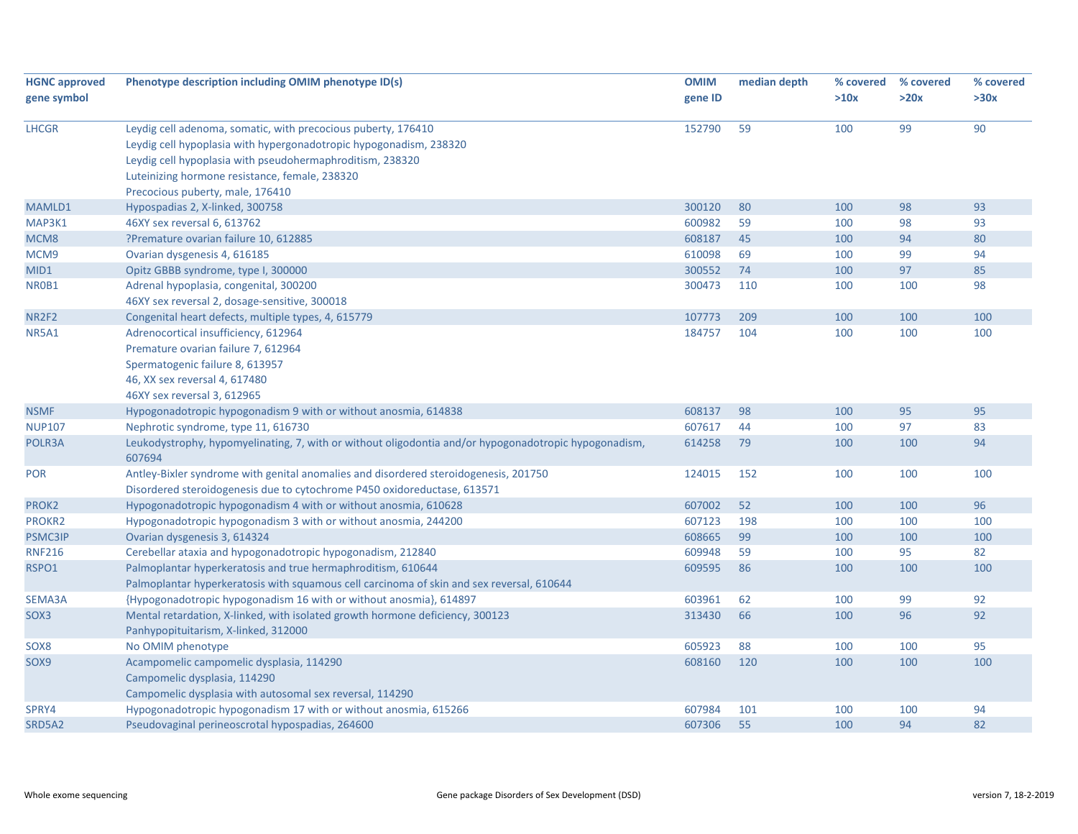| <b>HGNC approved</b> | Phenotype description including OMIM phenotype ID(s)                                                            | <b>OMIM</b> | median depth | % covered | % covered | % covered |
|----------------------|-----------------------------------------------------------------------------------------------------------------|-------------|--------------|-----------|-----------|-----------|
| gene symbol          |                                                                                                                 | gene ID     |              | >10x      | >20x      | >30x      |
|                      |                                                                                                                 |             |              |           |           |           |
| <b>LHCGR</b>         | Leydig cell adenoma, somatic, with precocious puberty, 176410                                                   | 152790      | 59           | 100       | 99        | 90        |
|                      | Leydig cell hypoplasia with hypergonadotropic hypogonadism, 238320                                              |             |              |           |           |           |
|                      | Leydig cell hypoplasia with pseudohermaphroditism, 238320                                                       |             |              |           |           |           |
|                      | Luteinizing hormone resistance, female, 238320                                                                  |             |              |           |           |           |
|                      | Precocious puberty, male, 176410                                                                                |             |              |           |           |           |
| MAMLD1               | Hypospadias 2, X-linked, 300758                                                                                 | 300120      | 80           | 100       | 98        | 93        |
| MAP3K1               | 46XY sex reversal 6, 613762                                                                                     | 600982      | 59           | 100       | 98        | 93        |
| MCM8                 | ?Premature ovarian failure 10, 612885                                                                           | 608187      | 45           | 100       | 94        | 80        |
| MCM9                 | Ovarian dysgenesis 4, 616185                                                                                    | 610098      | 69           | 100       | 99        | 94        |
| MID1                 | Opitz GBBB syndrome, type I, 300000                                                                             | 300552      | 74           | 100       | 97        | 85        |
| NR0B1                | Adrenal hypoplasia, congenital, 300200                                                                          | 300473      | 110          | 100       | 100       | 98        |
|                      | 46XY sex reversal 2, dosage-sensitive, 300018                                                                   |             |              |           |           |           |
| NR2F2                | Congenital heart defects, multiple types, 4, 615779                                                             | 107773      | 209          | 100       | 100       | 100       |
| NR5A1                | Adrenocortical insufficiency, 612964                                                                            | 184757      | 104          | 100       | 100       | 100       |
|                      | Premature ovarian failure 7, 612964                                                                             |             |              |           |           |           |
|                      | Spermatogenic failure 8, 613957                                                                                 |             |              |           |           |           |
|                      | 46, XX sex reversal 4, 617480                                                                                   |             |              |           |           |           |
|                      | 46XY sex reversal 3, 612965                                                                                     |             |              |           |           |           |
| <b>NSMF</b>          | Hypogonadotropic hypogonadism 9 with or without anosmia, 614838                                                 | 608137      | 98           | 100       | 95        | 95        |
| <b>NUP107</b>        | Nephrotic syndrome, type 11, 616730                                                                             | 607617      | 44           | 100       | 97        | 83        |
| POLR3A               | Leukodystrophy, hypomyelinating, 7, with or without oligodontia and/or hypogonadotropic hypogonadism,<br>607694 | 614258      | 79           | 100       | 100       | 94        |
| <b>POR</b>           | Antley-Bixler syndrome with genital anomalies and disordered steroidogenesis, 201750                            | 124015      | 152          | 100       | 100       | 100       |
|                      | Disordered steroidogenesis due to cytochrome P450 oxidoreductase, 613571                                        |             |              |           |           |           |
| PROK2                | Hypogonadotropic hypogonadism 4 with or without anosmia, 610628                                                 | 607002      | 52           | 100       | 100       | 96        |
| <b>PROKR2</b>        | Hypogonadotropic hypogonadism 3 with or without anosmia, 244200                                                 | 607123      | 198          | 100       | 100       | 100       |
| <b>PSMC3IP</b>       | Ovarian dysgenesis 3, 614324                                                                                    | 608665      | 99           | 100       | 100       | 100       |
| <b>RNF216</b>        | Cerebellar ataxia and hypogonadotropic hypogonadism, 212840                                                     | 609948      | 59           | 100       | 95        | 82        |
| RSPO1                | Palmoplantar hyperkeratosis and true hermaphroditism, 610644                                                    | 609595      | 86           | 100       | 100       | 100       |
|                      | Palmoplantar hyperkeratosis with squamous cell carcinoma of skin and sex reversal, 610644                       |             |              |           |           |           |
| SEMA3A               | {Hypogonadotropic hypogonadism 16 with or without anosmia}, 614897                                              | 603961      | 62           | 100       | 99        | 92        |
| SOX3                 | Mental retardation, X-linked, with isolated growth hormone deficiency, 300123                                   | 313430      | 66           | 100       | 96        | 92        |
|                      | Panhypopituitarism, X-linked, 312000                                                                            |             |              |           |           |           |
| SOX8                 | No OMIM phenotype                                                                                               | 605923      | 88           | 100       | 100       | 95        |
| SOX9                 | Acampomelic campomelic dysplasia, 114290                                                                        | 608160      | 120          | 100       | 100       | 100       |
|                      | Campomelic dysplasia, 114290                                                                                    |             |              |           |           |           |
|                      | Campomelic dysplasia with autosomal sex reversal, 114290                                                        |             |              |           |           |           |
| SPRY4                | Hypogonadotropic hypogonadism 17 with or without anosmia, 615266                                                | 607984      | 101          | 100       | 100       | 94        |
| SRD5A2               | Pseudovaginal perineoscrotal hypospadias, 264600                                                                | 607306      | 55           | 100       | 94        | 82        |